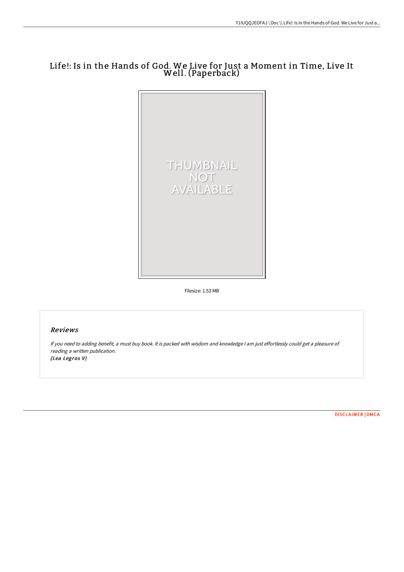# Life!: Is in the Hands of God. We Live for Just a Moment in Time, Live It Well. (Paperback)



Filesize: 1.53 MB

## Reviews

If you need to adding benefit, <sup>a</sup> must buy book. It is packed with wisdom and knowledge <sup>I</sup> am just effortlessly could get <sup>a</sup> pleasure of reading <sup>a</sup> written publication. (Lea Legros V)

[DISCLAIMER](http://techno-pub.tech/disclaimer.html) | [DMCA](http://techno-pub.tech/dmca.html)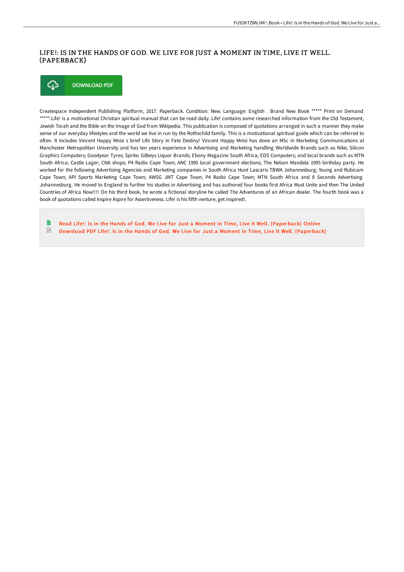### LIFE!: IS IN THE HANDS OF GOD. WE LIVE FOR JUST A MOMENT IN TIME, LIVE IT WELL. (PAPERBACK)



Createspace Independent Publishing Platform, 2017. Paperback. Condition: New. Language: English . Brand New Book \*\*\*\*\* Print on Demand \*\*\*\*\*.Life! is a motivational Christian spiritual manual that can be read daily. Life! contains some researched information from the Old Testament, Jewish Torah and the Bible on the Image of God from Wikipedia. This publication is composed of quotations arranged in such a manner they make sense of our everyday lifestyles and the world we live in run by the Rothschild family. This is a motivational spiritual guide which can be referred to often. It includes Vincent Happy Mnisi s brief Life Story in Fate Destiny! Vincent Happy Mnisi has done an MSc in Marketing Communications at Manchester Metropolitan University and has ten years experience in Advertising and Marketing handling Worldwide Brands such as Nike; Silicon Graphics Computers; Goodyear Tyres; Sprite; Gilbeys Liquor Brands; Ebony Magazine South Africa; EDS Computers; and local brands such as MTN South Africa; Castle Lager; CNA shops; P4 Radio Cape Town; ANC 1995 local government elections; The Nelson Mandela 1995 birthday party. He worked for the following Advertising Agencies and Marketing companies in South Africa Hunt Lascaris TBWA Johannesburg; Young and Rubicam Cape Town; API Sports Marketing Cape Town; AWSG JWT Cape Town; P4 Radio Cape Town; MTN South Africa and 8 Seconds Advertising Johannesburg. He moved to England to further his studies in Advertising and has authored four books first Africa Must Unite and then The United Countries of Africa Now!!!! On his third book, he wrote a fictional storyline he called The Adventures of an African dealer. The fourth book was a book of quotations called Inspire Aspire for Assertiveness. LIfe! is his fifth venture, get inspired!.

Read Life!: Is in the Hands of God. We Live for Just a Moment in Time, Live It Well. [\(Paperback\)](http://techno-pub.tech/life-is-in-the-hands-of-god-we-live-for-just-a-m.html) Online  $\sqrt{\frac{1}{2}}$ Download PDF Life!: Is in the Hands of God. We Live for Just a Moment in Time, Live It Well. [\(Paperback\)](http://techno-pub.tech/life-is-in-the-hands-of-god-we-live-for-just-a-m.html)